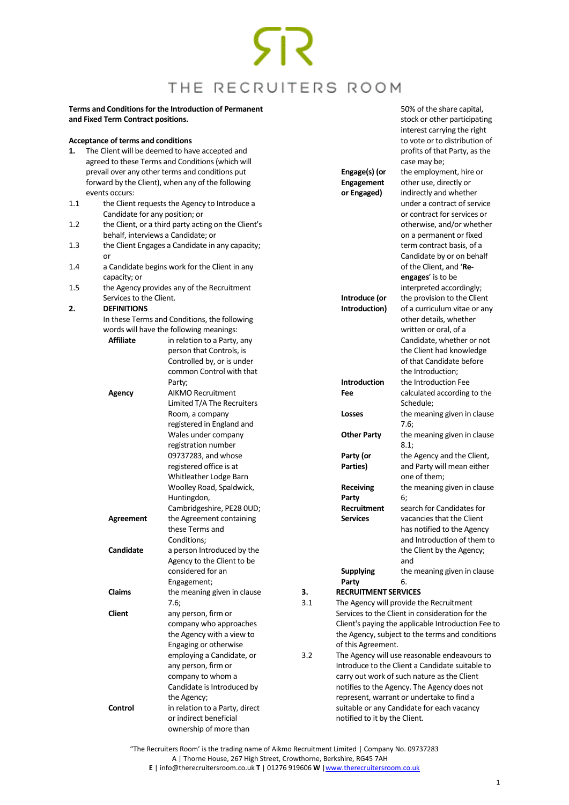50% of the share capital, stock or other participating

### **Terms and Conditions for the Introduction of Permanent and Fixed Term Contract positions.**

### <span id="page-0-0"></span>**Acceptance of terms and conditions**

|     | <b>Acceptance of terms and conditions</b> |                                                     |     |                             | interest carrying the right<br>to vote or to distribution of |
|-----|-------------------------------------------|-----------------------------------------------------|-----|-----------------------------|--------------------------------------------------------------|
| 1.  |                                           | The Client will be deemed to have accepted and      |     |                             | profits of that Party, as the                                |
|     |                                           | agreed to these Terms and Conditions (which will    |     |                             | case may be;                                                 |
|     |                                           | prevail over any other terms and conditions put     |     | Engage(s) (or               | the employment, hire or                                      |
|     |                                           | forward by the Client), when any of the following   |     | <b>Engagement</b>           | other use, directly or                                       |
|     | events occurs:                            |                                                     |     | or Engaged)                 | indirectly and whether                                       |
| 1.1 |                                           | the Client requests the Agency to Introduce a       |     |                             | under a contract of service                                  |
|     | Candidate for any position; or            |                                                     |     |                             | or contract for services or                                  |
| 1.2 |                                           | the Client, or a third party acting on the Client's |     |                             | otherwise, and/or whether                                    |
|     |                                           | behalf, interviews a Candidate; or                  |     |                             | on a permanent or fixed                                      |
| 1.3 |                                           | the Client Engages a Candidate in any capacity;     |     |                             | term contract basis, of a                                    |
|     | or                                        |                                                     |     |                             | Candidate by or on behalf                                    |
| 1.4 |                                           | a Candidate begins work for the Client in any       |     |                             | of the Client, and 'Re-                                      |
|     | capacity; or                              |                                                     |     |                             | engages' is to be                                            |
| 1.5 |                                           | the Agency provides any of the Recruitment          |     |                             | interpreted accordingly;                                     |
|     | Services to the Client.                   |                                                     |     | Introduce (or               | the provision to the Client                                  |
| 2.  | <b>DEFINITIONS</b>                        |                                                     |     | Introduction)               | of a curriculum vitae or any                                 |
|     |                                           | In these Terms and Conditions, the following        |     |                             | other details, whether                                       |
|     |                                           | words will have the following meanings:             |     |                             | written or oral, of a                                        |
|     | <b>Affiliate</b>                          | in relation to a Party, any                         |     |                             | Candidate, whether or not                                    |
|     |                                           | person that Controls, is                            |     |                             | the Client had knowledge                                     |
|     |                                           | Controlled by, or is under                          |     |                             | of that Candidate before                                     |
|     |                                           | common Control with that                            |     |                             | the Introduction;                                            |
|     |                                           | Party;                                              |     | <b>Introduction</b>         | the Introduction Fee                                         |
|     | Agency                                    | <b>AIKMO Recruitment</b>                            |     | Fee                         | calculated according to the                                  |
|     |                                           | Limited T/A The Recruiters                          |     |                             | Schedule;                                                    |
|     |                                           | Room, a company                                     |     | Losses                      | the meaning given in clause                                  |
|     |                                           | registered in England and                           |     |                             | 7.6;                                                         |
|     |                                           | Wales under company                                 |     | <b>Other Party</b>          | the meaning given in clause                                  |
|     |                                           | registration number                                 |     |                             | 8.1;                                                         |
|     |                                           | 09737283, and whose                                 |     | Party (or                   | the Agency and the Client,                                   |
|     |                                           | registered office is at                             |     | Parties)                    | and Party will mean either                                   |
|     |                                           | Whitleather Lodge Barn                              |     |                             | one of them;                                                 |
|     |                                           | Woolley Road, Spaldwick,                            |     | <b>Receiving</b>            | the meaning given in clause                                  |
|     |                                           | Huntingdon,                                         |     | Party                       | 6;                                                           |
|     |                                           | Cambridgeshire, PE28 OUD;                           |     | Recruitment                 | search for Candidates for                                    |
|     | Agreement                                 | the Agreement containing                            |     | <b>Services</b>             | vacancies that the Client                                    |
|     |                                           | these Terms and                                     |     |                             | has notified to the Agency                                   |
|     |                                           | Conditions;                                         |     |                             | and Introduction of them to                                  |
|     | Candidate                                 | a person Introduced by the                          |     |                             | the Client by the Agency;                                    |
|     |                                           | Agency to the Client to be                          |     |                             | and                                                          |
|     |                                           | considered for an                                   |     | <b>Supplying</b>            | the meaning given in clause                                  |
|     |                                           | Engagement;                                         |     | Party                       | 6.                                                           |
|     | Claims                                    | the meaning given in clause                         | 3.  | <b>RECRUITMENT SERVICES</b> |                                                              |
|     |                                           | 7.6;                                                | 3.1 |                             | The Agency will provide the Recruitment                      |
|     | Client                                    | any person, firm or                                 |     |                             | Services to the Client in consideration for the              |
|     |                                           | company who approaches                              |     |                             | Client's paying the applicable Introduction Fee to           |
|     |                                           | the Agency with a view to                           |     |                             | the Agency, subject to the terms and conditions              |
|     |                                           | Engaging or otherwise                               |     | of this Agreement.          |                                                              |
|     |                                           | employing a Candidate, or                           | 3.2 |                             | The Agency will use reasonable endeavours to                 |
|     |                                           | any person, firm or                                 |     |                             | Introduce to the Client a Candidate suitable to              |
|     |                                           | company to whom a                                   |     |                             | carry out work of such nature as the Client                  |
|     |                                           | Candidate is Introduced by                          |     |                             | notifies to the Agency. The Agency does not                  |
|     |                                           | the Agency;                                         |     |                             | represent, warrant or undertake to find a                    |
|     | Control                                   | in relation to a Party, direct                      |     |                             | suitable or any Candidate for each vacancy                   |

"The Recruiters Room' is the trading name of Aikmo Recruitment Limited | Company No. 09737283 A | Thorne House, 267 High Street, Crowthorne, Berkshire, RG45 7AH **E** | info@therecruitersroom.co.uk **T** | 01276 919606 **W** [|www.therecruitersroom.co.uk](http://www.therecruitersroom.co.uk/)

notified to it by the Client.

or indirect beneficial ownership of more than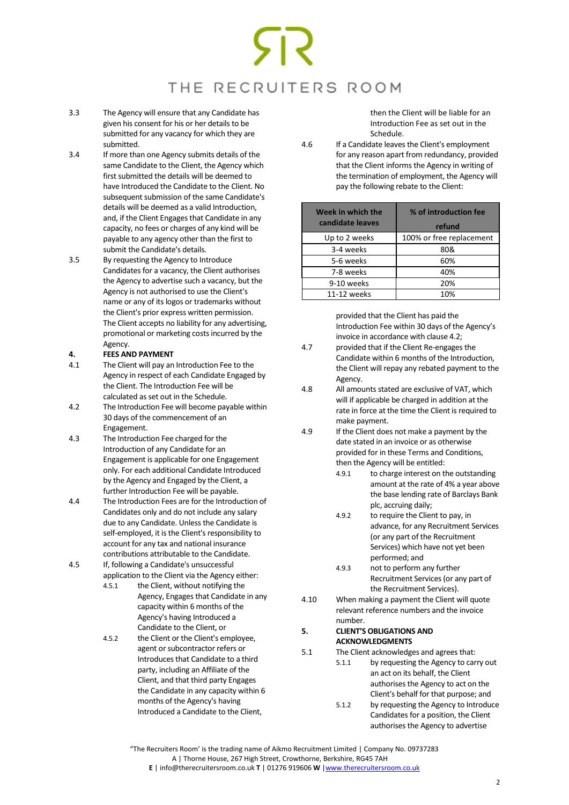- 3.3 The Agency will ensure that any Candidate has given his consent for his or her details to be submitted for any vacancy for which they are submitted.
- 3.4 If more than one Agency submits details of the same Candidate to the Client, the Agency which first submitted the details will be deemed to have Introduced the Candidate to the Client. No subsequent submission of the same Candidate's details will be deemed as a valid Introduction, and, if the Client Engages that Candidate in any capacity, no fees or charges of any kind will be payable to any agency other than the first to submit the Candidate's details.
- <span id="page-1-0"></span>3.5 By requesting the Agency to Introduce Candidates for a vacancy, the Client authorises the Agency to advertise such a vacancy, but the Agency is not authorised to use the Client's name or any of its logos or trademarks without the Client's prior express written permission. The Client accepts no liability for any advertising, promotional or marketing costs incurred by the Agency.

### <span id="page-1-1"></span>**4. FEES AND PAYMENT**

- 4.1 The Client will pay an Introduction Fee to the Agency in respect of each Candidate Engaged by the Client. The Introduction Fee will be calculated as set out in the Schedule.
- 4.2 The Introduction Fee will become payable within 30 days of the commencement of an Engagement.
- 4.3 The Introduction Fee charged for the Introduction of any Candidate for an Engagement is applicable for one Engagement only. For each additional Candidate Introduced by the Agency and Engaged by the Client, a further Introduction Fee will be payable.
- 4.4 The Introduction Fees are for the Introduction of Candidates only and do not include any salary due to any Candidate. Unless the Candidate is self-employed, it is the Client's responsibility to account for any tax and national insurance contributions attributable to the Candidate.
- 4.5 If, following a Candidate's unsuccessful application to the Client via the Agency either:
	- 4.5.1 the Client, without notifying the Agency, Engages that Candidate in any capacity within 6 months of the Agency's having Introduced a Candidate to the Client, or
	- 4.5.2 the Client or the Client's employee, agent or subcontractor refers or Introduces that Candidate to a third party, including an Affiliate of the Client, and that third party Engages the Candidate in any capacity within 6 months of the Agency's having Introduced a Candidate to the Client,

then the Client will be liable for an Introduction Fee as set out in the Schedule.

4.6 If a Candidate leaves the Client's employment for any reason apart from redundancy, provided that the Client informs the Agency in writing of the termination of employment, the Agency will pay the following rebate to the Client:

| Week in which the<br>candidate leaves | % of introduction fee<br>refund |  |  |
|---------------------------------------|---------------------------------|--|--|
| Up to 2 weeks                         | 100% or free replacement        |  |  |
| 3-4 weeks                             | 80&                             |  |  |
| 5-6 weeks                             | 60%                             |  |  |
| 7-8 weeks                             | 40%                             |  |  |
| 9-10 weeks                            | 20%                             |  |  |
| 11-12 weeks                           | 10%                             |  |  |

provided that the Client has paid the Introduction Fee within 30 days of the Agency's invoice in accordance with clause 4.2;

- 4.7 provided that if the Client Re-engages the Candidate within 6 months of the Introduction, the Client will repay any rebated payment to the Agency.
- 4.8 All amounts stated are exclusive of VAT, which will if applicable be charged in addition at the rate in force at the time the Client is required to make payment.
- 4.9 If the Client does not make a payment by the date stated in an invoice or as otherwise provided for in these Terms and Conditions, then the Agency will be entitled:
	- 4.9.1 to charge interest on the outstanding amount at the rate of 4% a year above the base lending rate of Barclays Bank plc, accruing daily;
	- 4.9.2 to require the Client to pay, in advance, for any Recruitment Services (or any part of the Recruitment Services) which have not yet been performed; and
	- 4.9.3 not to perform any further Recruitment Services (or any part of the Recruitment Services).
- 4.10 When making a payment the Client will quote relevant reference numbers and the invoice number.

### **5. CLIENT'S OBLIGATIONS AND ACKNOWLEDGMENTS**

- 5.1 The Client acknowledges and agrees that: 5.1.1 by requesting the Agency to carry out an act on its behalf, the Client authorises the Agency to act on the Client's behalf for that purpose; and
	- 5.1.2 by requesting the Agency to Introduce Candidates for a position, the Client authorises the Agency to advertise

"The Recruiters Room' is the trading name of Aikmo Recruitment Limited | Company No. 09737283 A | Thorne House, 267 High Street, Crowthorne, Berkshire, RG45 7AH **E** | info@therecruitersroom.co.uk **T** | 01276 919606 **W** [|www.therecruitersroom.co.uk](http://www.therecruitersroom.co.uk/)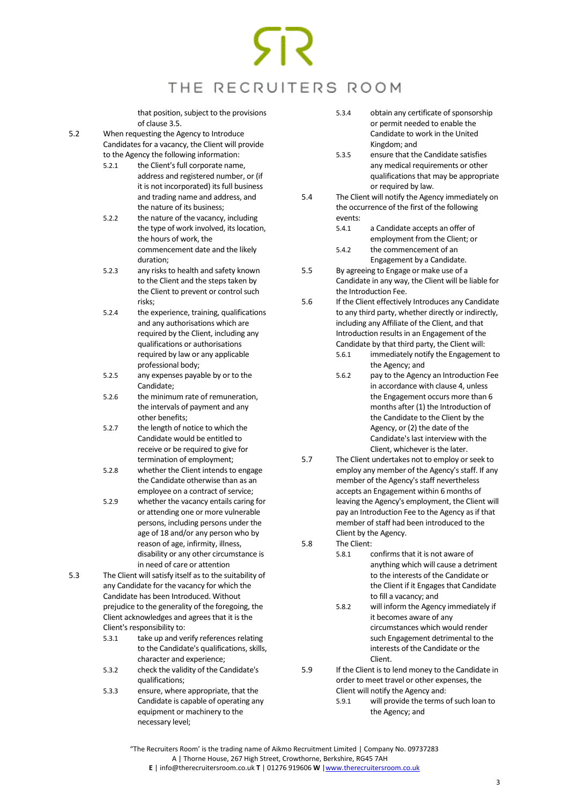that position, subject to the provisions of claus[e 3.5.](#page-1-0)

5.2 When requesting the Agency to Introduce Candidates for a vacancy, the Client will provide to the Agency the following information:

- 5.2.1 the Client's full corporate name, address and registered number, or (if it is not incorporated) its full business and trading name and address, and the nature of its business;
- 5.2.2 the nature of the vacancy, including the type of work involved, its location, the hours of work, the commencement date and the likely duration;
- 5.2.3 any risks to health and safety known to the Client and the steps taken by the Client to prevent or control such risks;
- 5.2.4 the experience, training, qualifications and any authorisations which are required by the Client, including any qualifications or authorisations required by law or any applicable professional body;
- 5.2.5 any expenses payable by or to the Candidate;
- 5.2.6 the minimum rate of remuneration, the intervals of payment and any other benefits;
- 5.2.7 the length of notice to which the Candidate would be entitled to receive or be required to give for termination of employment;
- 5.2.8 whether the Client intends to engage the Candidate otherwise than as an employee on a contract of service;
- 5.2.9 whether the vacancy entails caring for or attending one or more vulnerable persons, including persons under the age of 18 and/or any person who by reason of age, infirmity, illness, disability or any other circumstance is in need of care or attention
- 5.3 The Client will satisfy itself as to the suitability of any Candidate for the vacancy for which the Candidate has been Introduced. Without prejudice to the generality of the foregoing, the Client acknowledges and agrees that it is the Client's responsibility to:
	- 5.3.1 take up and verify references relating to the Candidate's qualifications, skills, character and experience;
	- 5.3.2 check the validity of the Candidate's qualifications;
	- 5.3.3 ensure, where appropriate, that the Candidate is capable of operating any equipment or machinery to the necessary level;
- 5.3.4 obtain any certificate of sponsorship or permit needed to enable the Candidate to work in the United Kingdom; and
- 5.3.5 ensure that the Candidate satisfies any medical requirements or other qualifications that may be appropriate or required by law.
- 5.4 The Client will notify the Agency immediately on the occurrence of the first of the following events:
	- 5.4.1 a Candidate accepts an offer of employment from the Client; or 5.4.2 the commencement of an
	- Engagement by a Candidate.
- 5.5 By agreeing to Engage or make use of a Candidate in any way, the Client will be liable for the Introduction Fee.
- 5.6 If the Client effectively Introduces any Candidate to any third party, whether directly or indirectly, including any Affiliate of the Client, and that Introduction results in an Engagement of the Candidate by that third party, the Client will:
	- 5.6.1 immediately notify the Engagement to the Agency; and
	- 5.6.2 pay to the Agency an Introduction Fee in accordance with claus[e 4,](#page-1-1) unless the Engagement occurs more than 6 months after (1) the Introduction of the Candidate to the Client by the Agency, or (2) the date of the Candidate's last interview with the Client, whichever is the later.
- 5.7 The Client undertakes not to employ or seek to employ any member of the Agency's staff. If any member of the Agency's staff nevertheless accepts an Engagement within 6 months of leaving the Agency's employment, the Client will pay an Introduction Fee to the Agency as if that member of staff had been introduced to the Client by the Agency.
- 5.8 The Client:
	- 5.8.1 confirms that it is not aware of anything which will cause a detriment to the interests of the Candidate or the Client if it Engages that Candidate to fill a vacancy; and
	- 5.8.2 will inform the Agency immediately if it becomes aware of any circumstances which would render such Engagement detrimental to the interests of the Candidate or the Client.
- 5.9 If the Client is to lend money to the Candidate in order to meet travel or other expenses, the Client will notify the Agency and:
	- 5.9.1 will provide the terms of such loan to the Agency; and

"The Recruiters Room' is the trading name of Aikmo Recruitment Limited | Company No. 09737283 A | Thorne House, 267 High Street, Crowthorne, Berkshire, RG45 7AH **E** | info@therecruitersroom.co.uk **T** | 01276 919606 **W** [|www.therecruitersroom.co.uk](http://www.therecruitersroom.co.uk/)

 $\overline{a}$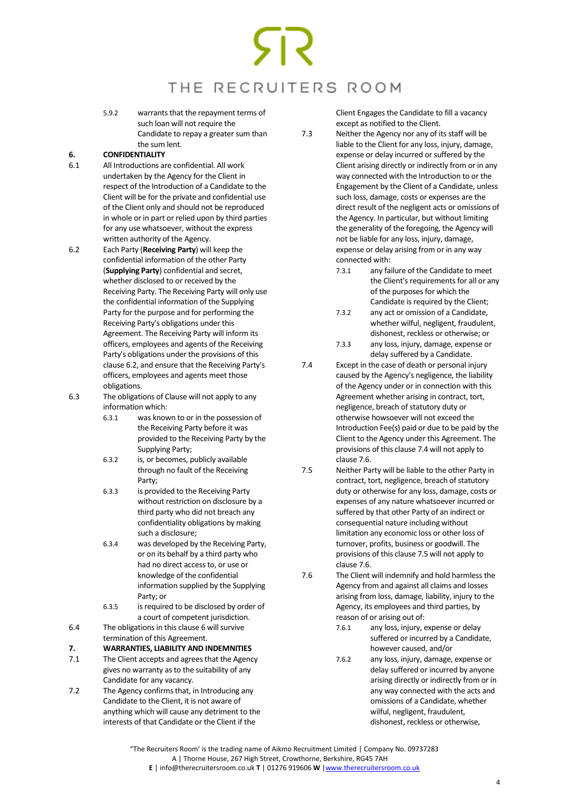5.9.2 warrants that the repayment terms of such loan will not require the Candidate to repay a greater sum than the sum lent.

### <span id="page-3-1"></span>**6. CONFIDENTIALITY**

- 6.1 All Introductions are confidential. All work undertaken by the Agency for the Client in respect of the Introduction of a Candidate to the Client will be for the private and confidential use of the Client only and should not be reproduced in whole or in part or relied upon by third parties for any use whatsoever, without the express written authority of the Agency.
- <span id="page-3-2"></span>6.2 Each Party (**Receiving Party**) will keep the confidential information of the other Party (**Supplying Party**) confidential and secret, whether disclosed to or received by the Receiving Party. The Receiving Party will only use the confidential information of the Supplying Party for the purpose and for performing the Receiving Party's obligations under this Agreement. The Receiving Party will inform its officers, employees and agents of the Receiving Party's obligations under the provisions of this claus[e 6.2,](#page-3-2) and ensure that the Receiving Party's officers, employees and agents meet those obligations.
- 6.3 The obligations of Clause will not apply to any information which:
	- 6.3.1 was known to or in the possession of the Receiving Party before it was provided to the Receiving Party by the Supplying Party;
	- 6.3.2 is, or becomes, publicly available through no fault of the Receiving Party;
	- 6.3.3 is provided to the Receiving Party without restriction on disclosure by a third party who did not breach any confidentiality obligations by making such a disclosure;
	- 6.3.4 was developed by the Receiving Party, or on its behalf by a third party who had no direct access to, or use or knowledge of the confidential information supplied by the Supplying Party; or
	- 6.3.5 is required to be disclosed by order of a court of competent jurisdiction.
- 6.4 The obligations in this claus[e 6](#page-3-1) will survive termination of this Agreement.
- **7. WARRANTIES, LIABILITY AND INDEMNITIES**
- 7.1 The Client accepts and agrees that the Agency gives no warranty as to the suitability of any Candidate for any vacancy.
- 7.2 The Agency confirms that, in Introducing any Candidate to the Client, it is not aware of anything which will cause any detriment to the interests of that Candidate or the Client if the

Client Engages the Candidate to fill a vacancy except as notified to the Client.

- 7.3 Neither the Agency nor any of its staff will be liable to the Client for any loss, injury, damage, expense or delay incurred or suffered by the Client arising directly or indirectly from or in any way connected with the Introduction to or the Engagement by the Client of a Candidate, unless such loss, damage, costs or expenses are the direct result of the negligent acts or omissions of the Agency. In particular, but without limiting the generality of the foregoing, the Agency will not be liable for any loss, injury, damage, expense or delay arising from or in any way connected with:
	- 7.3.1 any failure of the Candidate to meet the Client's requirements for all or any of the purposes for which the Candidate is required by the Client;
	- 7.3.2 any act or omission of a Candidate, whether wilful, negligent, fraudulent, dishonest, reckless or otherwise; or
	- 7.3.3 any loss, injury, damage, expense or delay suffered by a Candidate.
- <span id="page-3-3"></span>7.4 Except in the case of death or personal injury caused by the Agency's negligence, the liability of the Agency under or in connection with this Agreement whether arising in contract, tort, negligence, breach of statutory duty or otherwise howsoever will not exceed the Introduction Fee(s) paid or due to be paid by the Client to the Agency under this Agreement. The provisions of this claus[e 7.4](#page-3-3) will not apply to claus[e 7.6.](#page-3-0)
- <span id="page-3-4"></span>7.5 Neither Party will be liable to the other Party in contract, tort, negligence, breach of statutory duty or otherwise for any loss, damage, costs or expenses of any nature whatsoever incurred or suffered by that other Party of an indirect or consequential nature including without limitation any economic loss or other loss of turnover, profits, business or goodwill. The provisions of this claus[e 7.5](#page-3-4) will not apply to claus[e 7.6.](#page-3-0)
- <span id="page-3-0"></span>7.6 The Client will indemnify and hold harmless the Agency from and against all claims and losses arising from loss, damage, liability, injury to the Agency, its employees and third parties, by reason of or arising out of:
	- 7.6.1 any loss, injury, expense or delay suffered or incurred by a Candidate, however caused, and/or
	- 7.6.2 any loss, injury, damage, expense or delay suffered or incurred by anyone arising directly or indirectly from or in any way connected with the acts and omissions of a Candidate, whether wilful, negligent, fraudulent, dishonest, reckless or otherwise,

<sup>&</sup>quot;The Recruiters Room' is the trading name of Aikmo Recruitment Limited | Company No. 09737283 A | Thorne House, 267 High Street, Crowthorne, Berkshire, RG45 7AH **E** | info@therecruitersroom.co.uk **T** | 01276 919606 **W** [|www.therecruitersroom.co.uk](http://www.therecruitersroom.co.uk/)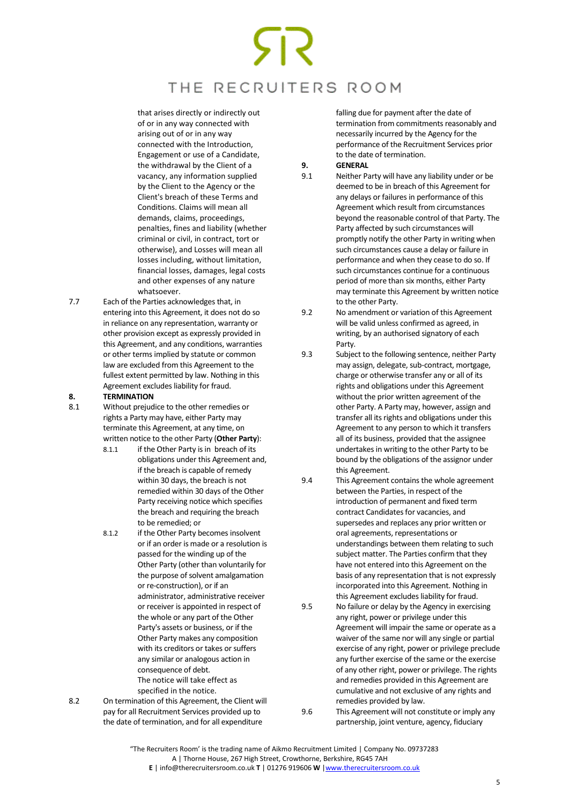that arises directly or indirectly out of or in any way connected with arising out of or in any way connected with the Introduction, Engagement or use of a Candidate, the withdrawal by the Client of a vacancy, any information supplied by the Client to the Agency or the Client's breach of these Terms and Conditions. Claims will mean all demands, claims, proceedings, penalties, fines and liability (whether criminal or civil, in contract, tort or otherwise), and Losses will mean all losses including, without limitation, financial losses, damages, legal costs and other expenses of any nature whatsoever.

7.7 Each of the Parties acknowledges that, in entering into this Agreement, it does not do so in reliance on any representation, warranty or other provision except as expressly provided in this Agreement, and any conditions, warranties or other terms implied by statute or common law are excluded from this Agreement to the fullest extent permitted by law. Nothing in this Agreement excludes liability for fraud.

### **8. TERMINATION**

- <span id="page-4-0"></span>8.1 Without prejudice to the other remedies or rights a Party may have, either Party may terminate this Agreement, at any time, on written notice to the other Party (**Other Party**):
	- 8.1.1 if the Other Party is in breach of its obligations under this Agreement and, if the breach is capable of remedy within 30 days, the breach is not remedied within 30 days of the Other Party receiving notice which specifies the breach and requiring the breach to be remedied; or
	- 8.1.2 if the Other Party becomes insolvent or if an order is made or a resolution is passed for the winding up of the Other Party (other than voluntarily for the purpose of solvent amalgamation or re-construction), or if an administrator, administrative receiver or receiver is appointed in respect of the whole or any part of the Other Party's assets or business, or if the Other Party makes any composition with its creditors or takes or suffers any similar or analogous action in consequence of debt. The notice will take effect as specified in the notice.
- 8.2 On termination of this Agreement, the Client will pay for all Recruitment Services provided up to the date of termination, and for all expenditure

falling due for payment after the date of termination from commitments reasonably and necessarily incurred by the Agency for the performance of the Recruitment Services prior to the date of termination.

### **9. GENERAL**<br>9.1 **Neither Pa**

- Neither Party will have any liability under or be deemed to be in breach of this Agreement for any delays or failures in performance of this Agreement which result from circumstances beyond the reasonable control of that Party. The Party affected by such circumstances will promptly notify the other Party in writing when such circumstances cause a delay or failure in performance and when they cease to do so. If such circumstances continue for a continuous period of more than six months, either Party may terminate this Agreement by written notice to the other Party.
- 9.2 No amendment or variation of this Agreement will be valid unless confirmed as agreed, in writing, by an authorised signatory of each Party.
- 9.3 Subject to the following sentence, neither Party may assign, delegate, sub-contract, mortgage, charge or otherwise transfer any or all of its rights and obligations under this Agreement without the prior written agreement of the other Party. A Party may, however, assign and transfer all its rights and obligations under this Agreement to any person to which it transfers all of its business, provided that the assignee undertakes in writing to the other Party to be bound by the obligations of the assignor under this Agreement.
- 9.4 This Agreement contains the whole agreement between the Parties, in respect of the introduction of permanent and fixed term contract Candidates for vacancies, and supersedes and replaces any prior written or oral agreements, representations or understandings between them relating to such subject matter. The Parties confirm that they have not entered into this Agreement on the basis of any representation that is not expressly incorporated into this Agreement. Nothing in this Agreement excludes liability for fraud.
- 9.5 No failure or delay by the Agency in exercising any right, power or privilege under this Agreement will impair the same or operate as a waiver of the same nor will any single or partial exercise of any right, power or privilege preclude any further exercise of the same or the exercise of any other right, power or privilege. The rights and remedies provided in this Agreement are cumulative and not exclusive of any rights and remedies provided by law.
- 9.6 This Agreement will not constitute or imply any partnership, joint venture, agency, fiduciary

<sup>&</sup>quot;The Recruiters Room' is the trading name of Aikmo Recruitment Limited | Company No. 09737283 A | Thorne House, 267 High Street, Crowthorne, Berkshire, RG45 7AH **E** | info@therecruitersroom.co.uk **T** | 01276 919606 **W** [|www.therecruitersroom.co.uk](http://www.therecruitersroom.co.uk/)